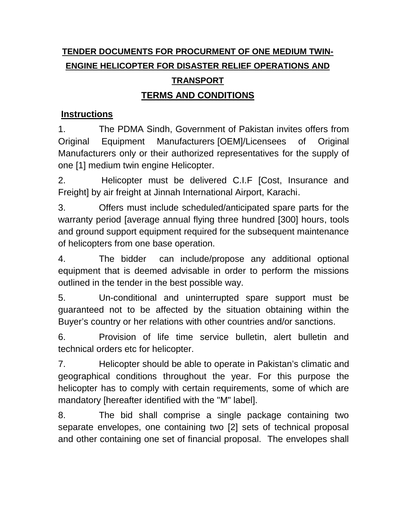# **TENDER DOCUMENTS FOR PROCURMENT OF ONE MEDIUM TWIN- ENGINE HELICOPTER FOR DISASTER RELIEF OPERATIONS AND TRANSPORT**

## **TERMS AND CONDITIONS**

### **Instructions**

1. The PDMA Sindh, Government of Pakistan invites offers from Original Equipment Manufacturers [OEM]/Licensees of Original Manufacturers only or their authorized representatives for the supply of one [1] medium twin engine Helicopter.

2. Helicopter must be delivered C.I.F [Cost, Insurance and Freight] by air freight at Jinnah International Airport, Karachi.

3. Offers must include scheduled/anticipated spare parts for the warranty period [average annual flying three hundred [300] hours, tools and ground support equipment required for the subsequent maintenance of helicopters from one base operation.

4. The bidder can include/propose any additional optional equipment that is deemed advisable in order to perform the missions outlined in the tender in the best possible way.

5. Un-conditional and uninterrupted spare support must be guaranteed not to be affected by the situation obtaining within the Buyer's country or her relations with other countries and/or sanctions.

6. Provision of life time service bulletin, alert bulletin and technical orders etc for helicopter.

7. Helicopter should be able to operate in Pakistan's climatic and geographical conditions throughout the year. For this purpose the helicopter has to comply with certain requirements, some of which are mandatory [hereafter identified with the "M" label].

8. The bid shall comprise a single package containing two separate envelopes, one containing two [2] sets of technical proposal and other containing one set of financial proposal. The envelopes shall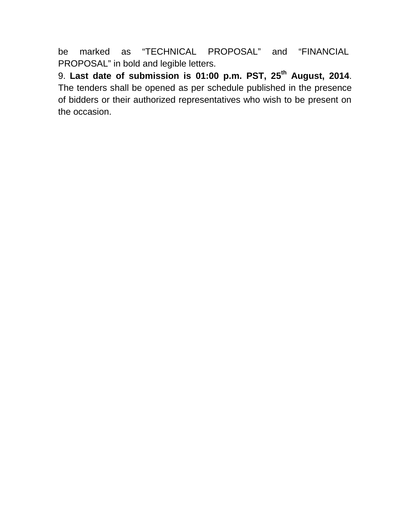be marked as "TECHNICAL PROPOSAL" and "FINANCIAL PROPOSAL" in bold and legible letters.

9. **Last date of submission is 01:00 p.m. PST, 25 th August, 2014**. The tenders shall be opened as per schedule published in the presence of bidders or their authorized representatives who wish to be present on the occasion.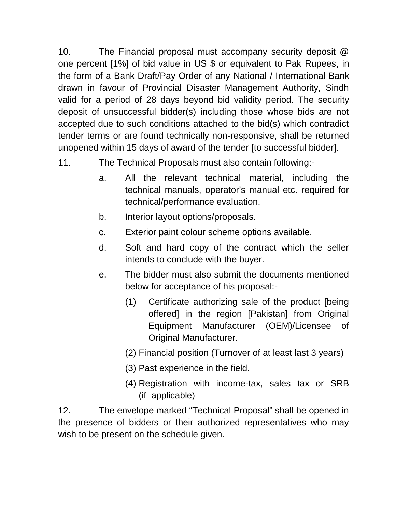10. The Financial proposal must accompany security deposit @ one percent [1%] of bid value in US \$ or equivalent to Pak Rupees, in the form of a Bank Draft/Pay Order of any National / International Bank drawn in favour of Provincial Disaster Management Authority, Sindh valid for a period of 28 days beyond bid validity period. The security deposit of unsuccessful bidder(s) including those whose bids are not accepted due to such conditions attached to the bid(s) which contradict tender terms or are found technically non-responsive, shall be returned unopened within 15 days of award of the tender [to successful bidder].

- 11. The Technical Proposals must also contain following:
	- a. All the relevant technical material, including the technical manuals, operator's manual etc. required for technical/performance evaluation.
	- b. Interior layout options/proposals.
	- c. Exterior paint colour scheme options available.
	- d. Soft and hard copy of the contract which the seller intends to conclude with the buyer.
	- e. The bidder must also submit the documents mentioned below for acceptance of his proposal:-
		- (1) Certificate authorizing sale of the product [being offered] in the region [Pakistan] from Original Equipment Manufacturer (OEM)/Licensee of Original Manufacturer.
		- (2) Financial position (Turnover of at least last 3 years)
		- (3) Past experience in the field.
		- (4) Registration with income-tax, sales tax or SRB (if applicable)

12. The envelope marked "Technical Proposal" shall be opened in the presence of bidders or their authorized representatives who may wish to be present on the schedule given.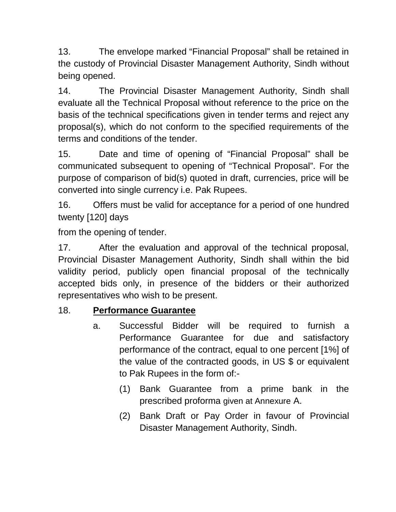13. The envelope marked "Financial Proposal" shall be retained in the custody of Provincial Disaster Management Authority, Sindh without being opened.

14. The Provincial Disaster Management Authority, Sindh shall evaluate all the Technical Proposal without reference to the price on the basis of the technical specifications given in tender terms and reject any proposal(s), which do not conform to the specified requirements of the terms and conditions of the tender.

15. Date and time of opening of "Financial Proposal" shall be communicated subsequent to opening of "Technical Proposal". For the purpose of comparison of bid(s) quoted in draft, currencies, price will be converted into single currency i.e. Pak Rupees.

16. Offers must be valid for acceptance for a period of one hundred twenty [120] days

from the opening of tender.

17. After the evaluation and approval of the technical proposal, Provincial Disaster Management Authority, Sindh shall within the bid validity period, publicly open financial proposal of the technically accepted bids only, in presence of the bidders or their authorized representatives who wish to be present.

### 18. **Performance Guarantee**

- a. Successful Bidder will be required to furnish a Performance Guarantee for due and satisfactory performance of the contract, equal to one percent [1%] of the value of the contracted goods, in US \$ or equivalent to Pak Rupees in the form of:-
	- (1) Bank Guarantee from a prime bank in the prescribed proforma given at Annexure A.
	- (2) Bank Draft or Pay Order in favour of Provincial Disaster Management Authority, Sindh.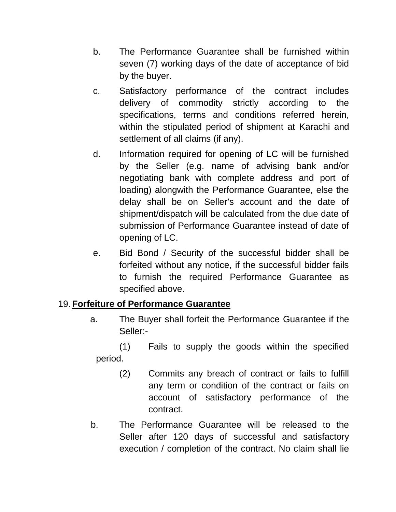- b. The Performance Guarantee shall be furnished within seven (7) working days of the date of acceptance of bid by the buyer.
- c. Satisfactory performance of the contract includes delivery of commodity strictly according to the specifications, terms and conditions referred herein, within the stipulated period of shipment at Karachi and settlement of all claims (if any).
- d. Information required for opening of LC will be furnished by the Seller (e.g. name of advising bank and/or negotiating bank with complete address and port of loading) alongwith the Performance Guarantee, else the delay shall be on Seller's account and the date of shipment/dispatch will be calculated from the due date of submission of Performance Guarantee instead of date of opening of LC.
- e. Bid Bond / Security of the successful bidder shall be forfeited without any notice, if the successful bidder fails to furnish the required Performance Guarantee as specified above.

### 19.**Forfeiture of Performance Guarantee**

a. The Buyer shall forfeit the Performance Guarantee if the Seller:-

(1) Fails to supply the goods within the specified period.

- (2) Commits any breach of contract or fails to fulfill any term or condition of the contract or fails on account of satisfactory performance of the contract.
- b. The Performance Guarantee will be released to the Seller after 120 days of successful and satisfactory execution / completion of the contract. No claim shall lie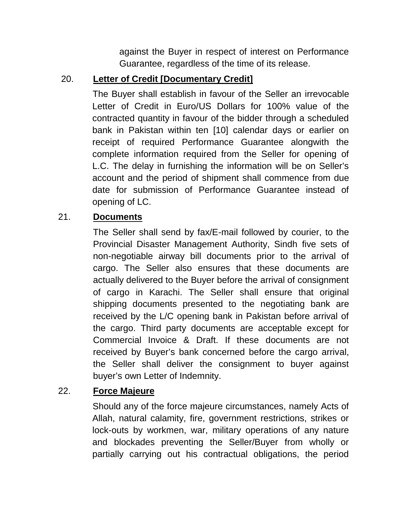against the Buyer in respect of interest on Performance Guarantee, regardless of the time of its release.

## 20. **Letter of Credit [Documentary Credit]**

The Buyer shall establish in favour of the Seller an irrevocable Letter of Credit in Euro/US Dollars for 100% value of the contracted quantity in favour of the bidder through a scheduled bank in Pakistan within ten [10] calendar days or earlier on receipt of required Performance Guarantee alongwith the complete information required from the Seller for opening of L.C. The delay in furnishing the information will be on Seller's account and the period of shipment shall commence from due date for submission of Performance Guarantee instead of opening of LC.

### 21. **Documents**

The Seller shall send by fax/E-mail followed by courier, to the Provincial Disaster Management Authority, Sindh five sets of non-negotiable airway bill documents prior to the arrival of cargo. The Seller also ensures that these documents are actually delivered to the Buyer before the arrival of consignment of cargo in Karachi. The Seller shall ensure that original shipping documents presented to the negotiating bank are received by the L/C opening bank in Pakistan before arrival of the cargo. Third party documents are acceptable except for Commercial Invoice & Draft. If these documents are not received by Buyer's bank concerned before the cargo arrival, the Seller shall deliver the consignment to buyer against buyer's own Letter of Indemnity.

### 22. **Force Majeure**

Should any of the force majeure circumstances, namely Acts of Allah, natural calamity, fire, government restrictions, strikes or lock-outs by workmen, war, military operations of any nature and blockades preventing the Seller/Buyer from wholly or partially carrying out his contractual obligations, the period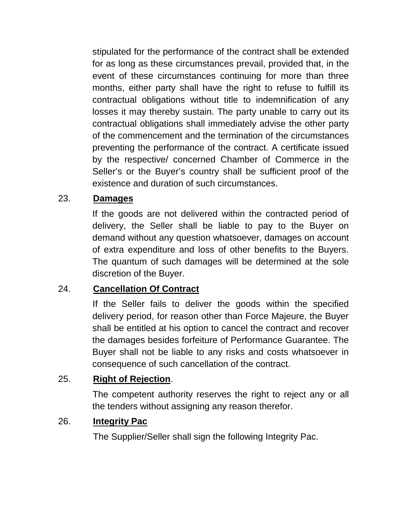stipulated for the performance of the contract shall be extended for as long as these circumstances prevail, provided that, in the event of these circumstances continuing for more than three months, either party shall have the right to refuse to fulfill its contractual obligations without title to indemnification of any losses it may thereby sustain. The party unable to carry out its contractual obligations shall immediately advise the other party of the commencement and the termination of the circumstances preventing the performance of the contract. A certificate issued by the respective/ concerned Chamber of Commerce in the Seller's or the Buyer's country shall be sufficient proof of the existence and duration of such circumstances.

### 23. **Damages**

If the goods are not delivered within the contracted period of delivery, the Seller shall be liable to pay to the Buyer on demand without any question whatsoever, damages on account of extra expenditure and loss of other benefits to the Buyers. The quantum of such damages will be determined at the sole discretion of the Buyer.

### 24. **Cancellation Of Contract**

If the Seller fails to deliver the goods within the specified delivery period, for reason other than Force Majeure, the Buyer shall be entitled at his option to cancel the contract and recover the damages besides forfeiture of Performance Guarantee. The Buyer shall not be liable to any risks and costs whatsoever in consequence of such cancellation of the contract.

### 25. **Right of Rejection**.

The competent authority reserves the right to reject any or all the tenders without assigning any reason therefor.

### 26. **Integrity Pac**

The Supplier/Seller shall sign the following Integrity Pac.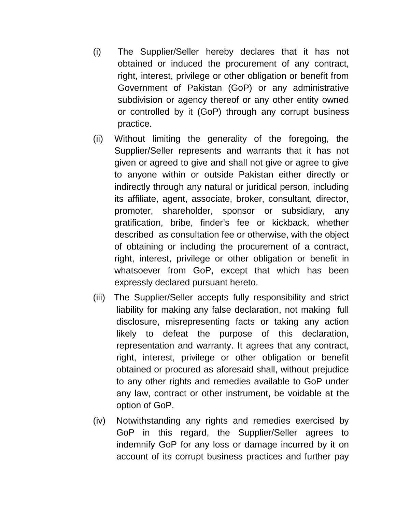- (i) The Supplier/Seller hereby declares that it has not obtained or induced the procurement of any contract, right, interest, privilege or other obligation or benefit from Government of Pakistan (GoP) or any administrative subdivision or agency thereof or any other entity owned or controlled by it (GoP) through any corrupt business practice.
- (ii) Without limiting the generality of the foregoing, the Supplier/Seller represents and warrants that it has not given or agreed to give and shall not give or agree to give to anyone within or outside Pakistan either directly or indirectly through any natural or juridical person, including its affiliate, agent, associate, broker, consultant, director, promoter, shareholder, sponsor or subsidiary, any gratification, bribe, finder's fee or kickback, whether described as consultation fee or otherwise, with the object of obtaining or including the procurement of a contract, right, interest, privilege or other obligation or benefit in whatsoever from GoP, except that which has been expressly declared pursuant hereto.
- (iii) The Supplier/Seller accepts fully responsibility and strict liability for making any false declaration, not making full disclosure, misrepresenting facts or taking any action likely to defeat the purpose of this declaration, representation and warranty. It agrees that any contract, right, interest, privilege or other obligation or benefit obtained or procured as aforesaid shall, without prejudice to any other rights and remedies available to GoP under any law, contract or other instrument, be voidable at the option of GoP.
- (iv) Notwithstanding any rights and remedies exercised by GoP in this regard, the Supplier/Seller agrees to indemnify GoP for any loss or damage incurred by it on account of its corrupt business practices and further pay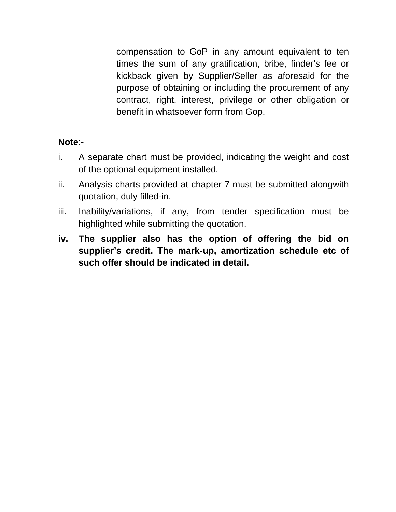compensation to GoP in any amount equivalent to ten times the sum of any gratification, bribe, finder's fee or kickback given by Supplier/Seller as aforesaid for the purpose of obtaining or including the procurement of any contract, right, interest, privilege or other obligation or benefit in whatsoever form from Gop.

#### **Note**:-

- i. A separate chart must be provided, indicating the weight and cost of the optional equipment installed.
- ii. Analysis charts provided at chapter 7 must be submitted alongwith quotation, duly filled-in.
- iii. Inability/variations, if any, from tender specification must be highlighted while submitting the quotation.
- **iv. The supplier also has the option of offering the bid on supplier's credit. The mark-up, amortization schedule etc of such offer should be indicated in detail.**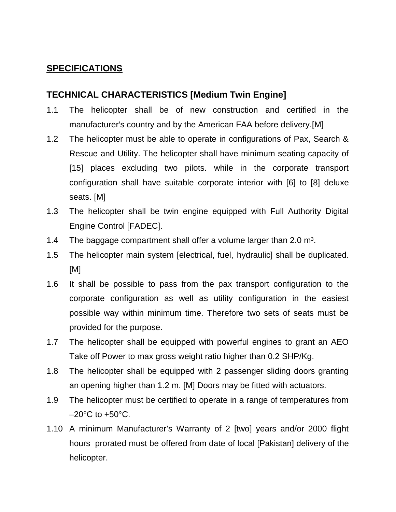#### **SPECIFICATIONS**

#### **TECHNICAL CHARACTERISTICS [Medium Twin Engine]**

- 1.1 The helicopter shall be of new construction and certified in the manufacturer's country and by the American FAA before delivery.[M]
- 1.2 The helicopter must be able to operate in configurations of Pax, Search & Rescue and Utility. The helicopter shall have minimum seating capacity of [15] places excluding two pilots. while in the corporate transport configuration shall have suitable corporate interior with [6] to [8] deluxe seats. [M]
- 1.3 The helicopter shall be twin engine equipped with Full Authority Digital Engine Control [FADEC].
- 1.4 The baggage compartment shall offer a volume larger than 2.0  $m<sup>3</sup>$ .
- 1.5 The helicopter main system [electrical, fuel, hydraulic] shall be duplicated. [M]
- 1.6 It shall be possible to pass from the pax transport configuration to the corporate configuration as well as utility configuration in the easiest possible way within minimum time. Therefore two sets of seats must be provided for the purpose.
- 1.7 The helicopter shall be equipped with powerful engines to grant an AEO Take off Power to max gross weight ratio higher than 0.2 SHP/Kg.
- 1.8 The helicopter shall be equipped with 2 passenger sliding doors granting an opening higher than 1.2 m. [M] Doors may be fitted with actuators.
- 1.9 The helicopter must be certified to operate in a range of temperatures from  $-20^{\circ}$ C to  $+50^{\circ}$ C.
- 1.10 A minimum Manufacturer's Warranty of 2 [two] years and/or 2000 flight hours prorated must be offered from date of local [Pakistan] delivery of the helicopter.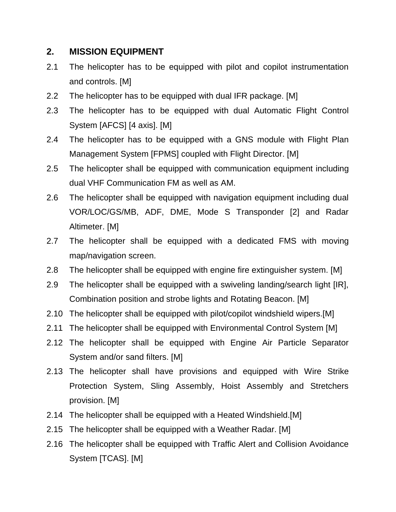#### **2. MISSION EQUIPMENT**

- 2.1 The helicopter has to be equipped with pilot and copilot instrumentation and controls. [M]
- 2.2 The helicopter has to be equipped with dual IFR package. [M]
- 2.3 The helicopter has to be equipped with dual Automatic Flight Control System [AFCS] [4 axis]. [M]
- 2.4 The helicopter has to be equipped with a GNS module with Flight Plan Management System [FPMS] coupled with Flight Director. [M]
- 2.5 The helicopter shall be equipped with communication equipment including dual VHF Communication FM as well as AM.
- 2.6 The helicopter shall be equipped with navigation equipment including dual VOR/LOC/GS/MB, ADF, DME, Mode S Transponder [2] and Radar Altimeter. [M]
- 2.7 The helicopter shall be equipped with a dedicated FMS with moving map/navigation screen.
- 2.8 The helicopter shall be equipped with engine fire extinguisher system. [M]
- 2.9 The helicopter shall be equipped with a swiveling landing/search light [IR], Combination position and strobe lights and Rotating Beacon. [M]
- 2.10 The helicopter shall be equipped with pilot/copilot windshield wipers.[M]
- 2.11 The helicopter shall be equipped with Environmental Control System [M]
- 2.12 The helicopter shall be equipped with Engine Air Particle Separator System and/or sand filters. [M]
- 2.13 The helicopter shall have provisions and equipped with Wire Strike Protection System, Sling Assembly, Hoist Assembly and Stretchers provision. [M]
- 2.14 The helicopter shall be equipped with a Heated Windshield.[M]
- 2.15 The helicopter shall be equipped with a Weather Radar. [M]
- 2.16 The helicopter shall be equipped with Traffic Alert and Collision Avoidance System [TCAS]. [M]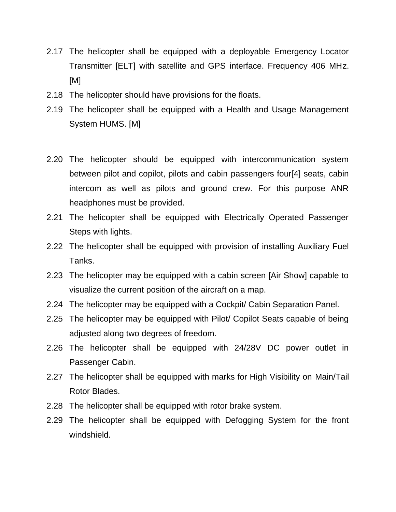- 2.17 The helicopter shall be equipped with a deployable Emergency Locator Transmitter [ELT] with satellite and GPS interface. Frequency 406 MHz. [M]
- 2.18 The helicopter should have provisions for the floats.
- 2.19 The helicopter shall be equipped with a Health and Usage Management System HUMS. [M]
- 2.20 The helicopter should be equipped with intercommunication system between pilot and copilot, pilots and cabin passengers four[4] seats, cabin intercom as well as pilots and ground crew. For this purpose ANR headphones must be provided.
- 2.21 The helicopter shall be equipped with Electrically Operated Passenger Steps with lights.
- 2.22 The helicopter shall be equipped with provision of installing Auxiliary Fuel Tanks.
- 2.23 The helicopter may be equipped with a cabin screen [Air Show] capable to visualize the current position of the aircraft on a map.
- 2.24 The helicopter may be equipped with a Cockpit/ Cabin Separation Panel.
- 2.25 The helicopter may be equipped with Pilot/ Copilot Seats capable of being adjusted along two degrees of freedom.
- 2.26 The helicopter shall be equipped with 24/28V DC power outlet in Passenger Cabin.
- 2.27 The helicopter shall be equipped with marks for High Visibility on Main/Tail Rotor Blades.
- 2.28 The helicopter shall be equipped with rotor brake system.
- 2.29 The helicopter shall be equipped with Defogging System for the front windshield.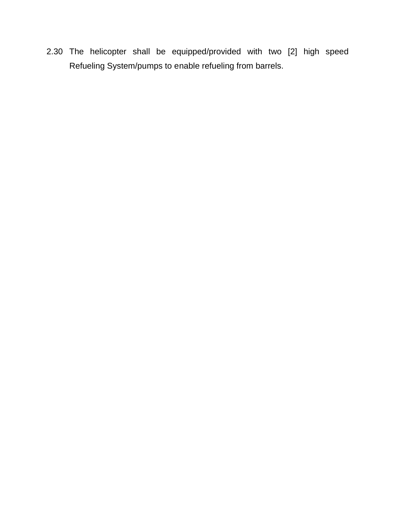2.30 The helicopter shall be equipped/provided with two [2] high speed Refueling System/pumps to enable refueling from barrels.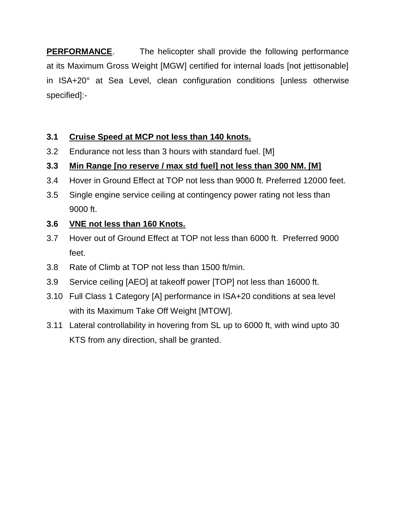**PERFORMANCE**. The helicopter shall provide the following performance at its Maximum Gross Weight [MGW] certified for internal loads [not jettisonable] in ISA+20° at Sea Level, clean configuration conditions [unless otherwise specified]:-

### **3.1 Cruise Speed at MCP not less than 140 knots.**

3.2 Endurance not less than 3 hours with standard fuel. [M]

### **3.3 Min Range [no reserve / max std fuel] not less than 300 NM. [M]**

- 3.4 Hover in Ground Effect at TOP not less than 9000 ft. Preferred 12000 feet.
- 3.5 Single engine service ceiling at contingency power rating not less than 9000 ft.

### **3.6 VNE not less than 160 Knots.**

- 3.7 Hover out of Ground Effect at TOP not less than 6000 ft. Preferred 9000 feet.
- 3.8 Rate of Climb at TOP not less than 1500 ft/min.
- 3.9 Service ceiling [AEO] at takeoff power [TOP] not less than 16000 ft.
- 3.10 Full Class 1 Category [A] performance in ISA+20 conditions at sea level with its Maximum Take Off Weight [MTOW].
- 3.11 Lateral controllability in hovering from SL up to 6000 ft, with wind upto 30 KTS from any direction, shall be granted.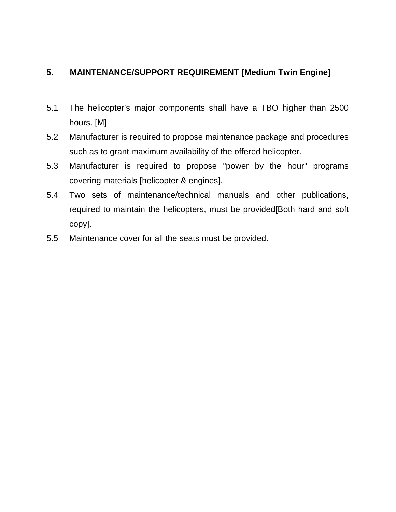#### **5. MAINTENANCE/SUPPORT REQUIREMENT [Medium Twin Engine]**

- 5.1 The helicopter's major components shall have a TBO higher than 2500 hours. [M]
- 5.2 Manufacturer is required to propose maintenance package and procedures such as to grant maximum availability of the offered helicopter.
- 5.3 Manufacturer is required to propose "power by the hour" programs covering materials [helicopter & engines].
- 5.4 Two sets of maintenance/technical manuals and other publications, required to maintain the helicopters, must be provided[Both hard and soft copy].
- 5.5 Maintenance cover for all the seats must be provided.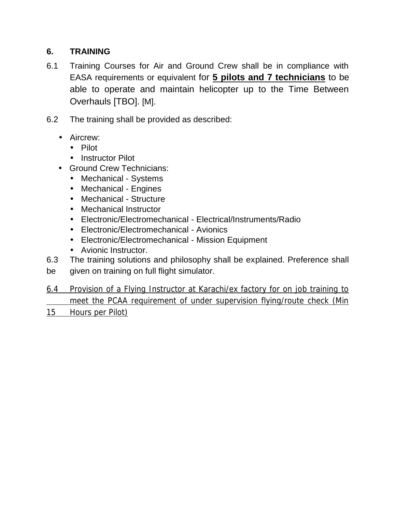#### **6. TRAINING**

- 6.1 Training Courses for Air and Ground Crew shall be in compliance with EASA requirements or equivalent for **5 pilots and 7 technicians** to be able to operate and maintain helicopter up to the Time Between Overhauls [TBO]. [M].
- 6.2 The training shall be provided as described:
	- Aircrew:
		- Pilot
		- Instructor Pilot
	- Ground Crew Technicians:
		- Mechanical Systems
		- Mechanical Engines
		- Mechanical Structure
		- Mechanical Instructor
		- Electronic/Electromechanical Electrical/Instruments/Radio
		- Electronic/Electromechanical Avionics
		- Electronic/Electromechanical Mission Equipment
		- Avionic Instructor.
- 6.3 The training solutions and philosophy shall be explained. Preference shall
- be given on training on full flight simulator.
- 6.4 Provision of a Flying Instructor at Karachi/ex factory for on job training to meet the PCAA requirement of under supervision flying/route check (Min
- 15 Hours per Pilot)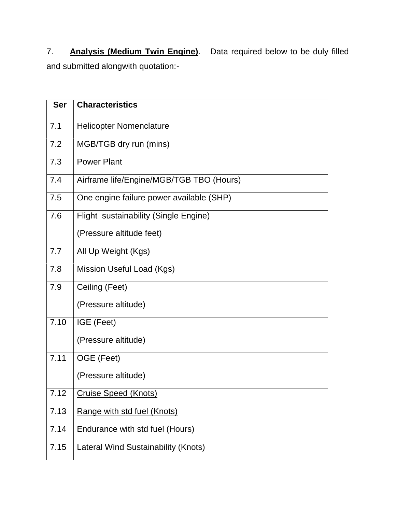7. **Analysis (Medium Twin Engine)**. Data required below to be duly filled and submitted alongwith quotation:-

| <b>Ser</b> | <b>Characteristics</b>                   |  |
|------------|------------------------------------------|--|
| 7.1        | <b>Helicopter Nomenclature</b>           |  |
| 7.2        | MGB/TGB dry run (mins)                   |  |
| 7.3        | <b>Power Plant</b>                       |  |
| 7.4        | Airframe life/Engine/MGB/TGB TBO (Hours) |  |
| 7.5        | One engine failure power available (SHP) |  |
| 7.6        | Flight sustainability (Single Engine)    |  |
|            | (Pressure altitude feet)                 |  |
| 7.7        | All Up Weight (Kgs)                      |  |
| 7.8        | Mission Useful Load (Kgs)                |  |
| 7.9        | Ceiling (Feet)                           |  |
|            | (Pressure altitude)                      |  |
| 7.10       | IGE (Feet)                               |  |
|            | (Pressure altitude)                      |  |
| 7.11       | OGE (Feet)                               |  |
|            | (Pressure altitude)                      |  |
| 7.12       | <b>Cruise Speed (Knots)</b>              |  |
| 7.13       | Range with std fuel (Knots)              |  |
| 7.14       | Endurance with std fuel (Hours)          |  |
| 7.15       | Lateral Wind Sustainability (Knots)      |  |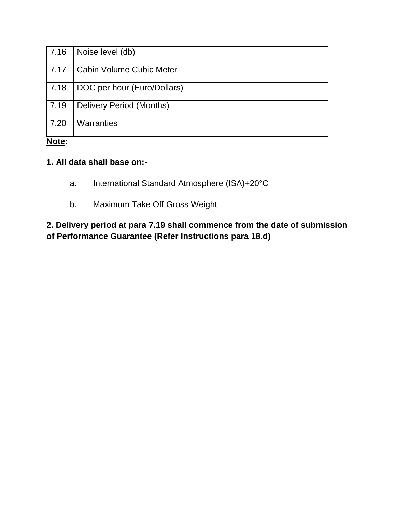| 7.16 | Noise level (db)                |  |
|------|---------------------------------|--|
| 7.17 | <b>Cabin Volume Cubic Meter</b> |  |
| 7.18 | DOC per hour (Euro/Dollars)     |  |
| 7.19 | Delivery Period (Months)        |  |
| 7.20 | Warranties                      |  |

#### **Note:**

#### **1. All data shall base on:-**

- a. International Standard Atmosphere (ISA)+20°C
- b. Maximum Take Off Gross Weight

### **2. Delivery period at para 7.19 shall commence from the date of submission of Performance Guarantee (Refer Instructions para 18.d)**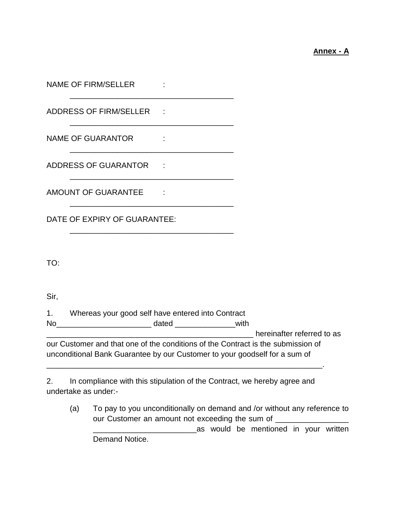#### **Annex - A**

| NAME OF FIRM/SELLER<br><u> 1989 - Johann John Stein, markin fan it ferstjer fan it ferstjer fan it ferstjer fan it ferstjer fan it fers</u>                    |                                                                                                                      |                                            |  |  |  |
|----------------------------------------------------------------------------------------------------------------------------------------------------------------|----------------------------------------------------------------------------------------------------------------------|--------------------------------------------|--|--|--|
| ADDRESS OF FIRM/SELLER :                                                                                                                                       |                                                                                                                      |                                            |  |  |  |
| NAME OF GUARANTOR :                                                                                                                                            | <u> 2000 - 2000 - 2000 - 2000 - 2000 - 2000 - 2000 - 2000 - 2000 - 2000 - 2000 - 2000 - 2000 - 2000 - 2000 - 200</u> |                                            |  |  |  |
| ADDRESS OF GUARANTOR :                                                                                                                                         |                                                                                                                      |                                            |  |  |  |
| AMOUNT OF GUARANTEE :                                                                                                                                          |                                                                                                                      |                                            |  |  |  |
| DATE OF EXPIRY OF GUARANTEE:                                                                                                                                   |                                                                                                                      |                                            |  |  |  |
| TO:                                                                                                                                                            |                                                                                                                      |                                            |  |  |  |
| Sir,                                                                                                                                                           |                                                                                                                      |                                            |  |  |  |
|                                                                                                                                                                | 1. Whereas your good self have entered into Contract                                                                 |                                            |  |  |  |
|                                                                                                                                                                |                                                                                                                      |                                            |  |  |  |
| our Customer and that one of the conditions of the Contract is the submission of<br>unconditional Bank Guarantee by our Customer to your goodself for a sum of |                                                                                                                      | <b>Solution</b> bereinafter referred to as |  |  |  |
| In compliance with this stipulation of the Contract, we hereby agree and<br>2.<br>undertake as under:-                                                         |                                                                                                                      |                                            |  |  |  |

(a) To pay to you unconditionally on demand and /or without any reference to our Customer an amount not exceeding the sum of \_\_\_\_\_\_\_\_\_\_\_\_\_\_\_\_\_\_\_\_\_\_\_\_\_\_\_\_\_\_\_\_ \_\_\_\_\_\_\_\_\_\_\_\_\_\_\_\_\_\_\_\_\_\_\_\_as would be mentioned in your written Demand Notice.